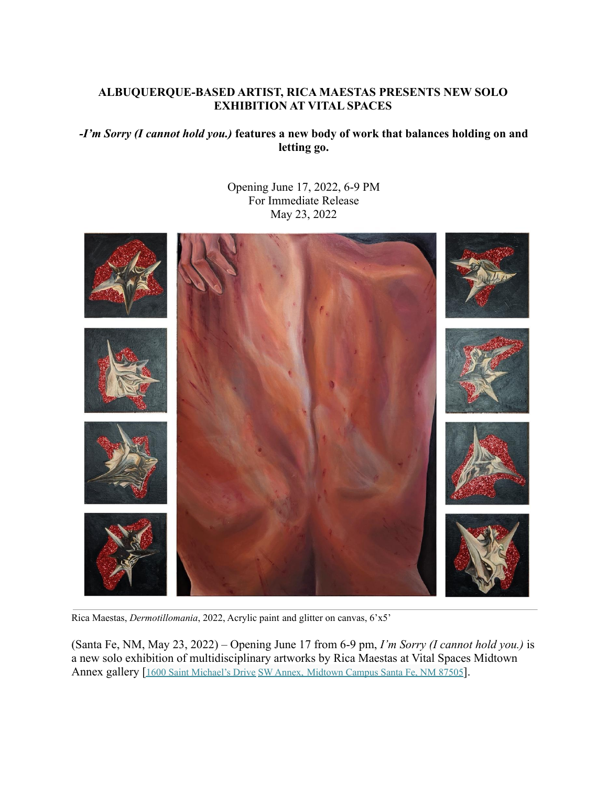## **ALBUQUERQUE-BASED ARTIST, RICA MAESTAS PRESENTS NEW SOLO EXHIBITION AT VITAL SPACES**

*-I'm Sorry (I cannot hold you.)* **features a new body of work that balances holding on and letting go.**

> Opening June 17, 2022, 6-9 PM For Immediate Release May 23, 2022



Rica Maestas, *Dermotillomania*, 2022, Acrylic paint and glitter on canvas, 6'x5'

(Santa Fe, NM, May 23, 2022) – Opening June 17 from 6-9 pm, *I'm Sorry (I cannot hold you.)* is a new solo exhibition of multidisciplinary artworks by Rica Maestas at Vital Spaces Midtown Annex gallery [1600 Saint [Michael's](https://www.google.com/maps/place/Vital+Spaces/@35.6725223,-105.9731011,14z/data=!4m8!1m2!2m1!1sVital+Spaces!3m4!1s0x0:0xca199acc710df8!8m2!3d35.6554612!4d-105.9757572) Drive SW Annex, Midtown Campus Santa Fe, NM 87505].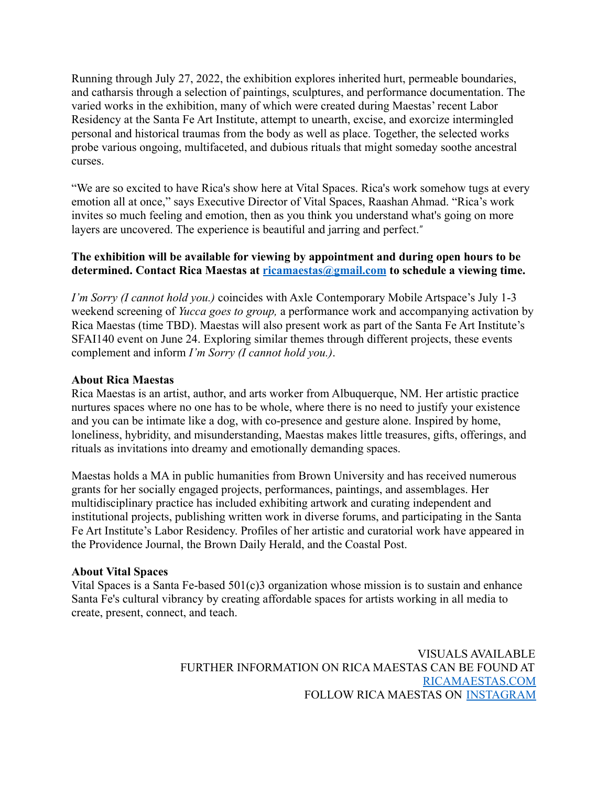Running through July 27, 2022, the exhibition explores inherited hurt, permeable boundaries, and catharsis through a selection of paintings, sculptures, and performance documentation. The varied works in the exhibition, many of which were created during Maestas' recent Labor Residency at the Santa Fe Art Institute, attempt to unearth, excise, and exorcize intermingled personal and historical traumas from the body as well as place. Together, the selected works probe various ongoing, multifaceted, and dubious rituals that might someday soothe ancestral curses.

"We are so excited to have Rica's show here at Vital Spaces. Rica's work somehow tugs at every emotion all at once," says Executive Director of Vital Spaces, Raashan Ahmad. "Rica's work invites so much feeling and emotion, then as you think you understand what's going on more layers are uncovered. The experience is beautiful and jarring and perfect."

## **The exhibition will be available for viewing by appointment and during open hours to be determined. Contact Rica Maestas at [ricamaestas@gmail.com](mailto:ricamaestas@gmail.com) to schedule a viewing time.**

*I'm Sorry (I cannot hold you.)* coincides with Axle Contemporary Mobile Artspace's July 1-3 weekend screening of *Yucca goes to group,* a performance work and accompanying activation by Rica Maestas (time TBD). Maestas will also present work as part of the Santa Fe Art Institute's SFAI140 event on June 24. Exploring similar themes through different projects, these events complement and inform *I'm Sorry (I cannot hold you.)*.

## **About Rica Maestas**

Rica Maestas is an artist, author, and arts worker from Albuquerque, NM. Her artistic practice nurtures spaces where no one has to be whole, where there is no need to justify your existence and you can be intimate like a dog, with co-presence and gesture alone. Inspired by home, loneliness, hybridity, and misunderstanding, Maestas makes little treasures, gifts, offerings, and rituals as invitations into dreamy and emotionally demanding spaces.

Maestas holds a MA in public humanities from Brown University and has received numerous grants for her socially engaged projects, performances, paintings, and assemblages. Her multidisciplinary practice has included exhibiting artwork and curating independent and institutional projects, publishing written work in diverse forums, and participating in the Santa Fe Art Institute's Labor Residency. Profiles of her artistic and curatorial work have appeared in the Providence Journal, the Brown Daily Herald, and the Coastal Post.

## **About Vital Spaces**

Vital Spaces is a Santa Fe-based 501(c)3 organization whose mission is to sustain and enhance Santa Fe's cultural vibrancy by creating affordable spaces for artists working in all media to create, present, connect, and teach.

> VISUALS AVAILABLE FURTHER INFORMATION ON RICA MAESTAS CAN BE FOUND AT [RICAMAESTAS.COM](http://ricamaestas.com/) FOLLOW RICA MAESTAS ON [INSTAGRAM](https://www.instagram.com/ricaroux)